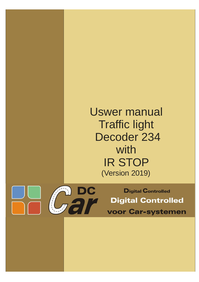# Uswer manual Traffic light Decoder 234 with IR STOP (Version 2019)



**Digital Controlled Digital Controlled voor Car-systemen**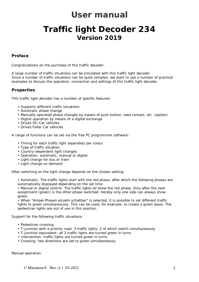## **User manual**

## **Traffic light Decoder 234 Version 2019**

## *Preface*

Congratulations on the purchase of this traffic decoder.

A large number of traffic situations can be simulated with this traffic light decoder. Since a number of traffic situations can be quite complex, we want to use a number of practical examples to discuss the operation, connection and settings of this traffic light decoder.

## *Properties*

This traffic light decoder has a number of specific features:

- Supports different traffic situations
- Automatic phase change
- Manually operated phase changes by means of push button, reed contact, etc. (option)
- Digital operation by means of a digital exchange
- Drives DC-Car vehicles
- Drives Faller Car vehicles

A range of functions can be set via the free PC programmer software:

- Timing for each traffic light separately per colour
- Type of traffic situation
- Country-dependent light changes
- Operation: automatic, manual or digital
- Light change for bus or tram
- Light change on demand

After switching on the light change depends on the chosen setting:

• Automatic: The traffic lights start with the red phase, after which the following phases are automatically displayed depending on the set time

• Manual or digital control: The traffic lights all show the red phase. Only after the next assignment (green) is the other phase switched. Hereby only one side can always show green.

• When "Ampel-Phasen einzeln schaltbar" is selected, it is possible to set different traffic lights to green simultaneously. This can be used, for example, to create a green wave. The pedestrian lights are out of use in this position.

Support for the following traffic situations:

- Pedestrian crossing.
- T-junction with a priority road: 3 traffic lights, 2 of which switch simultaneously.
- T-junction equivalent: all 3 traffic lights are turned green in turns
- Intersection: traffic lights are turned green in turns
- Crossing: two directions are set to green simultaneously

Manual operation: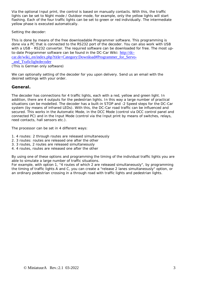Via the optional Input print, the control is based on manually contacts. With this, the traffic lights can be set to Night mode / Outdoor mode, for example, only the yellow lights will start flashing. Each of the four traffic lights can be set to green or red individually. The intermediate yellow phase is executed automatically.

Setting the decoder:

This is done by means of the free downloadable Programmer software. This programming is done via a PC that is connected to the RS232 port of the decoder. You can also work with USB with a USB - RS232 converter. The required software can be downloaded for free. The most upto-date Programmer software can be found in the DC-Car Wiki: http://dccar.de/wiki\_en/index.php?title=Category:Download#Programmer\_for\_Servo-\_and\_Traficlightdecoder (This is German only software)

We can optionally setting of the decoder for you upon delivery. Send us an email with the desired settings with your order.

## *General.*

The decoder has connections for 4 traffic lights, each with a red, yellow and green light. In addition, there are 4 outputs for the pedestrian lights. In this way a large number of practical situations can be modelled. The decoder has a built-in STOP and -2 Speed steps for the DC-Car system (by means of infrared LEDs). With this, the DC-Car road traffic can be influenced and secured. This works in the Automatic Mode, in the DCC Mode (control via DCC control panel and connected PC) and in the Input Mode (control via the Input print by means of switches, relays, reed contacts, hall sensors etc.).

The processor can be set in 4 different ways:

- 1. 4 routes: 2 through routes are released simultaneously
- 2. 3 routes: routes are released one after the other
- 3. 3 routes, 2 routes are released simultaneously
- 4. 4 routes, routes are released one after the other

By using one of these options and programming the timing of the individual traffic lights you are able to simulate a large number of traffic situations.

For example, with option 1, "4 routes of which 2 are released simultaneously", by programming the timing of traffic lights A and C, you can create a "release 2 lanes simultaneously" option, or an ordinary pedestrian crossing in a through road with traffic lights and pedestrian lights.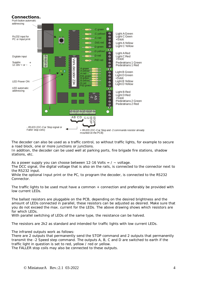### *Connections.*



The decoder can also be used as a traffic control, so without traffic lights, for example to secure a road block, one or more junctions or junctions.

In addition, the decoder can be used well at parking ports, fire brigade fire stations, shadow stations, etc.

As a power supply you can choose between 12-16 Volts  $= / \sim$  voltage.

The DCC signal, the digital voltage that is also on the rails, is connected to the connector next to the RS232 input.

While the optional Input print or the PC, to program the decoder, is connected to the RS232 **Connector** 

The traffic lights to be used must have a common + connection and preferably be provided with low current LEDs.

The ballast resistors are pluggable on the PCB, depending on the desired brightness and the amount of LEDs connected in parallel, these resistors can be adjusted as desired. Make sure that you do not exceed the max. current for the LEDs. The above drawing shows which resistors are for which LEDs.

With parallel switching of LEDs of the same type, the resistance can be halved.

The resistors are 2k2 as standard and intended for traffic lights with low current LEDs.

The infrared outputs work as follows:

There are 2 outputs that permanently send the STOP command and 2 outputs that permanently transmit the -2 Speed step command. The outputs A, B, C and D are switched to earth if the traffic light in question is set to red, yellow / red or yellow.

The FALLER stop coils may also be connected to these outputs.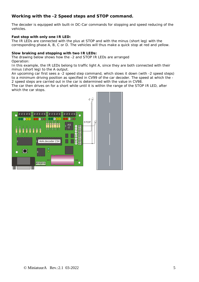## *Working with the -2 Speed steps and STOP command.*

The decoder is equipped with built-in DC-Car commands for stopping and speed reducing of the vehicles.

#### **Fast stop with only one IR LED:**

The IR LEDs are connected with the plus at STOP and with the minus (short leg) with the corresponding phase A, B, C or D. The vehicles will thus make a quick stop at red and yellow.

#### **Slow braking and stopping with two IR LEDs:**

The drawing below shows how the -2 and STOP IR LEDs are arranged Operation:

In this example, the IR LEDs belong to traffic light A, since they are both connected with their minus (short leg) to the A output.

An upcoming car first sees a -2 speed step command, which slows it down (with -2 speed steps) to a minimum driving position as specified in CV99 of the car decoder. The speed at which the - 2 speed steps are carried out in the car is determined with the value in CV98.

The car then drives on for a short while until it is within the range of the STOP IR LED, after which the car stops.

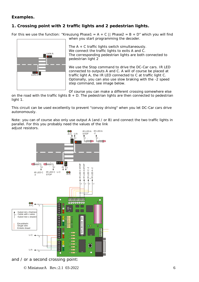## *Examples.*

## **1. Crossing point with 2 traffic lights and 2 pedestrian lights.**

For this we use the function: "Kreuzung Phase1 = A + C || Phase2 = B + D" which you will find when you start programming the decoder.



The  $A + C$  traffic lights switch simultaneously. We connect the traffic lights to exits A and C. The corresponding pedestrian lights are both connected to pedestrian light 2

We use the Stop command to drive the DC-Car cars. IR LED connected to outputs A and C. A will of course be placed at traffic light A, the IR LED connected to C at traffic light C. Optionally, you can also use slow braking with the -2 speed step command, see image below.

Of course you can make a different crossing somewhere else

on the road with the traffic lights  $B + D$ . The pedestrian lights are then connected to pedestrian light 1.

This circuit can be used excellently to prevent "convoy driving" when you let DC-Car cars drive autonomously.

Note: you can of course also only use output A (and / or B) and connect the two traffic lights in parallel. For this you probably need the values of the link adjust resistors.



and / or a second crossing point:

© MiniatuurA Rev.:2.1 03-2022 6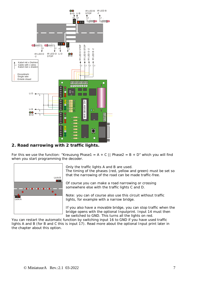

## **2. Road narrowing with 2 traffic lights.**

For this we use the function: "Kreuzung Phase1 = A + C || Phase2 = B + D" which you will find when you start programming the decoder.



Only the traffic lights A and B are used.

The timing of the phases (red, yellow and green) must be set so that the narrowing of the road can be made traffic-free.

Of course you can make a road narrowing or crossing somewhere else with the traffic lights C and D.

Note: you can of course also use this circuit without traffic lights, for example with a narrow bridge.

If you also have a movable bridge, you can stop traffic when the bridge opens with the optional Inputprint. Input 14 must then be switched to GND. This turns all the lights on red.

You can restart the automatic function by switching input 16 to GND if you have used traffic lights A and B (for B and C this is input 17). Read more about the optional Input print later in the chapter about this option.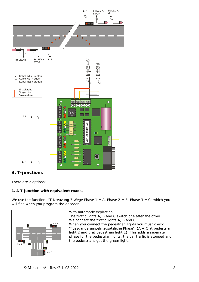

## *3. T-junctions*

There are 2 options:

## **1. A T-junction with equivalent roads.**

We use the function: "T-Kreuzung 3 Wege Phase  $1 = A$ , Phase  $2 = B$ , Phase  $3 = C$ " which you will find when you program the decoder.



With automatic expiration:

The traffic lights A, B and C switch one after the other. We connect the traffic lights A, B and C. When you connect the pedestrian lights you must check "Füssgangerampeln zusatzliche Phase".  $(A + C$  at pedestrian light 2 and B at pedestrian light 1). This adds a separate phase for the pedestrian lights, the car traffic is stopped and the pedestrians get the green light.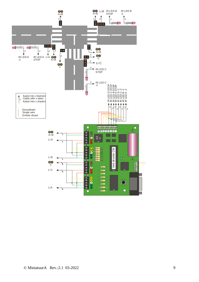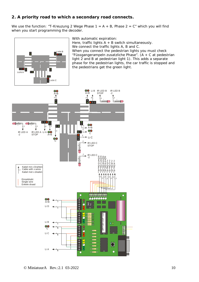## **2. A priority road to which a secondary road connects.**

We use the function: "T-Kreuzung 2 Wege Phase  $1 = A + B$ , Phase  $2 = C<sup>n</sup>$  which you will find when you start programming the decoder.



With automatic expiration:

Here, traffic lights  $A + B$  switch simultaneously. We connect the traffic lights A, B and C. When you connect the pedestrian lights you must check "Füssgangerampeln zusatzliche Phase". (A + C at pedestrian light 2 and B at pedestrian light 1). This adds a separate phase for the pedestrian lights, the car traffic is stopped and the pedestrians get the green light.

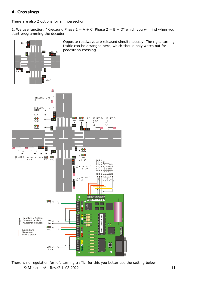## **4. Crossings**

There are also 2 options for an intersection:

1. We use function: "Kreuzung Phase  $1 = A + C$ , Phase  $2 = B + D$ " which you will find when you start programming the decoder.



© MiniatuurA Rev.:2.1 03-2022 11 There is no regulation for left-turning traffic, for this you better use the setting below.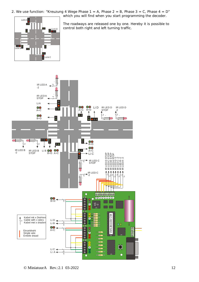2. We use function: "Kreuzung 4 Wege Phase  $1 = A$ , Phase  $2 = B$ , Phase  $3 = C$ , Phase  $4 = D$ " which you will find when you start programming the decoder.

Licht A Licht D $\frac{1}{2}$ **Doop**<br>Licht B Licht C

The roadways are released one by one. Hereby it is possible to control both right and left turning traffic.

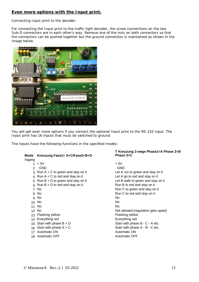## **Even more options with the Input print.**

Connecting Input print to the decoder.

For connecting the Input print to the traffic light decoder, the screw connections on the two Sub-D connectors are in each other's way. Remove one of the nuts on both connectors so that the connectors can be pushed together but the ground connection is maintained as shown in the image below.



You will get even more options if you connect the optional Input print to the RS-232 input. The Input print has 16 inputs that must be switched to ground.

The inputs have the following functions in the specified modes:

| Mode            | Kreuzung Fase1= A+C/Fase2=B+D         | i Krei<br><b>Phase</b> |
|-----------------|---------------------------------------|------------------------|
| Ingang          |                                       |                        |
| 1               | + 5V                                  | + 5V                   |
| $\overline{2}$  | GND                                   | <b>GND</b>             |
| 3               | Run $A + C$ to green and stay on it   | Let A i                |
| 4               | Run $A + C$ to red and stay on it     | Let A                  |
|                 | 5 Run $B + D$ to green and stay on it | Let B $\overline{ }$   |
| 6               | Run $B + D$ to red and stay on it     | Run B                  |
| $\overline{7}$  | <b>No</b>                             | Run C                  |
| 8.              | No                                    | Run C                  |
| 9               | No                                    | No                     |
| 10              | No                                    | No.                    |
| 11              | No                                    | No.                    |
| 12 <sup>2</sup> | No                                    | Not all                |
| 13 <sup>7</sup> | Flashing yellow                       | Flashii                |
| 14              | Everything red                        | Everyt                 |
|                 | 15 Start with phase $B + D$           | Start v                |
|                 | 16 Start with phase $A + C$           | Start v                |
| 17              | Automatic ON                          | Autom                  |
| 18.             | <b>Automatic OFF</b>                  | Autom                  |
|                 |                                       |                        |

#### **T Kreuzung 3 wege Phase1=A Phase 2=B Phase 3=C**

Let A run to green and stay on it Let A go to red and stay on it Let B walk to green and stay on it Run B to red and stay on it Run C to green and stay on it Run C to red and stay on it<br>No Not allowed (regulation gets upset) Flashing yellow Everything red Start with phase  $B - C - A$  etc. Start with phase  $A - B - C$  etc. Automatic ON Automatic OFF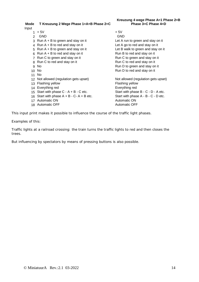**Kreuzung 4 wege Phase A=1 Phase 2=B Phase 3=C Phase 4=D**

## **Mode T Kreuzung 2 Wege Phase 1=A+B Phase 2=C**

Input

- $1 + 5V$  + 5V<br>
2 GND GND
- 2 GND
- 
- 
- 
- 
- 
- 8 Run C to red and stay on it
- 
- 
- 11 No
- 12 Not allowed (regulation gets upset) Not allowed (regulation gets upset)
- 
- 
- 
- 16 Start with phase  $A + B C A + B$  etc. Start with phase  $A + B C A + B$  etc. Start with phase  $A + B C A + B$  etc.
- 
- 18 Automatic OFF

3 Run A + B to green and stay on it Let A run to green and stay on it 4 Run A + B to red and stay on it<br>
5 Run A + B to green and stay on it<br>
Let B walk to green and stay on it 5 Run A + B to green and stay on it<br>6 Run A + B to red and stay on it<br>Run B to red and stay on it<br>Run B to red and stay on it 6 Run A + B to red and stay on it<br>
7 Run C to areen and stay on it<br>
Run C to areen and stay on it<br>
Run C to areen and stay on it 7 Run C to green and stay on it<br>
8 Run C to red and stay on it<br>
Run C to red and stay on it<br>
Run C to red and stay on it 9 No Run D to green and stay on it 10 No **Run D** to red and stay on it

13 Flashing yellow Flashing yellow<br>
14 Everything red Contract Contract Contract Contract Contract Contract Contract Contract Contract Contract Contra<br>
19 Everything red Contract Contract Contract Contract Contract Contrac 14 Everything red Everything red Everything red Everything red Everything red Everything red C - D - A etc. 15 Start with phase  $C - A + B - C$  etc.<br>16 Start with phase  $A + B - C - A + B$  etc.<br>Start with phase  $A - B - C - D$  etc. 17 Automatic ON Automatic ON Automatic OFF Automatic OFF Automatic OFF Automatic OFF Automatic OFF

This input print makes it possible to influence the course of the traffic light phases.

Examples of this:

Traffic lights at a railroad crossing: the train turns the traffic lights to red and then closes the trees.

But influencing by spectators by means of pressing buttons is also possible.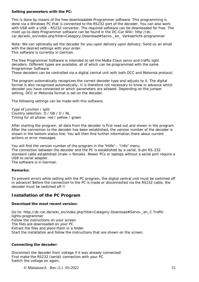#### **Setting parameters with the PC:**

This is done by means of the free downloadable Programmer software. This programming is done via a Windows PC that is connected to the RS232 port of the decoder. You can also work with USB with a USB - RS232 converter. The required software can be downloaded for free. The most up-to-date Programmer software can be found in the DC-Car Wiki: http://dccar.de/wiki\_en/index.php?title=Category:Download#Servo-\_en\_ Verkeerlicht-programmer

Note: We can optionally set the decoder for you upon delivery upon delivery. Send us an email with the desired settings with your order. This software is currently in German.

The free Programmer Software is intended to set the MoBa-Claus servo and traffic light decoders. Different types are available, all of which can be programmed with the same Programmer Software.

These decoders can be controlled via a digital central unit with both DCC and Motorola protocol.

The program automatically recognizes the correct decoder type and adjusts to it. The digital format is also recognized automatically. It is therefore not necessary to know in advance which decoder you have connected or which parameters are allowed. Depending on the jumper setting, DCC or Motorola format is set on the decoder.

The following settings can be made with this software:

Type of junction / split Country selection: D / GB / O / NL Timing for all phase: red / yellow / green

After starting the program, all data from the decoder is first read out and shown in the program. After the connection to the decoder has been established, the version number of the decoder is shown in the bottom status line. You will then find further information there about current actions or error messages.

You will find the version number of the program in the "Hilfe" - "Info" menu. The connection between the decoder and the PC is established by a serial, 9-pin RS-232 standard cable established (male + female). Newer PCs or laptops without a serial port require a USB to serial adapter.

The software is in German.

#### **Remarks:**

To prevent errors while setting with the PC program, the digital central unit must be switched off in advance! Before the connection to the PC is made or disconnected via the RS232 cable, the decoder must be switched off II

## *Installation of the PC Program*

#### **Download the most recent version:**

Go to: http://dc-car.de/wiki\_en/index.php?title=Category:Download#Servo-\_en\_C Traffic lights-programmer Follow the instructions on your screen The files are downloaded on your PC Extract the files and place them in a folder. Start the installation and follow the instructions that are shown on the screen.

#### **Connecting the decoder:**

Disconnect the decoder from voltage if it was already connected! First make the RS232 (serial) connection with your PC. Switch the voltage on again.

© MiniatuurA Rev.:2.1 03-2022 15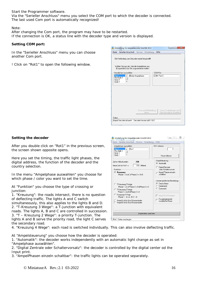Start the Programmer software.

Via the "Serieller Anschluss" menu you select the COM port to which the decoder is connected. The last used Com port is automatically recognized!

Note:

After changing the Com port, the program may have to be restarted. If the connection is OK, a status line with the decoder type and version is displayed.

#### **Setting COM port:**

In the "Serieller Anschluss" menu you can choose another Com port.

! Click on "Rot1" to open the following window.

|                                          | Die Verbindung zum Decoder wurde hergestellt!                                               |           |                         |
|------------------------------------------|---------------------------------------------------------------------------------------------|-----------|-------------------------|
| Ampelphase auswählen                     | Wählen Sie aus der Liste die Ampelphase aus,<br>(Doppelclick) das Sie programmieren wollen. | COM Port- |                         |
| Rot <sub>1</sub><br>Rot-Gelb 1<br>Grün 1 | Keine Ampelphase                                                                            |           | COM Port 3              |
|                                          |                                                                                             |           |                         |
|                                          | Servo auf Mittelstellung                                                                    |           | Servo Endstellungen und |

#### **Setting the decoder**

After you double click on "Rot1" in the previous screen, the screen shown opposite opens.

Here you set the timing, the traffic light phases, the digital address, the function of the decoder and the country selection.

In the menu "Ampelphase auswahlen" you choose for which phase / color you want to set the time.

At "Funktion" you choose the type of crossing or junction:

1. "Kreuzung": the roads intersect, there is no question of deflecting traffic. The lights A and C switch simultaneously, this also applies to the lights B and D. 2. "T-Kreuzung 3 Wege": a T-junction with equivalent roads. The lights A, B and C are controlled in succession. 3. "T – Kreuzung 2 Wege": a priority T-junction. The lights A and B serve the priority road, the light C serves the secondary road.

| Rot-Gelb 1<br>Griin 1<br>Gelb 1                                                                                                                                                                                | Neue Adresse                                     |
|----------------------------------------------------------------------------------------------------------------------------------------------------------------------------------------------------------------|--------------------------------------------------|
| Zeit in Millisekunden                                                                                                                                                                                          | Ampelsteuerung                                   |
| 768                                                                                                                                                                                                            | C Automatik                                      |
| 768                                                                                                                                                                                                            | C Digital-Zentrale                               |
| <b>Millisek</b>                                                                                                                                                                                                | oder Schaltervorsatz                             |
| Neue Zeit für Rot 1 =                                                                                                                                                                                          | Ampel Phasen einzeln                             |
| <b>Funktion</b>                                                                                                                                                                                                | schalthar                                        |
| <b>6</b> Kreuzung                                                                                                                                                                                              | Länderspezifische Einstellung                    |
| Phase $1 = A + C$ II Phase $2 = B + D$                                                                                                                                                                         | <b>G</b> Deutschland                             |
| C T-Kreuzung 3 Wege<br>Phase $1 = A \parallel$ Phase $2 = B \parallel$ Phase $3 = C$<br><b>C</b> T-Kreuzung 2 Wege<br>Phase $1 = A + B$ II Phase $2 = C$<br>C Kreuzung 4 Wege<br>Phase $1 - 4 = A - B - C - D$ | Niederland<br>Österreich<br>Ampel B ist Rufampel |
| Ampel A ist für Bus/Strassenbahn                                                                                                                                                                               | Fussgängerampel                                  |
| Ampel B ist für Bus/Strassenbahn                                                                                                                                                                               | zusätzliche Phase                                |

4. "Kreuzung 4 Wege": each road is switched individually. This can also involve deflecting traffic.

At "Ampelsteuerung" you choose how the decoder is operated:

1. "Automatik": the decoder works independently with an automatic light change as set in "Ampelphase auswählen".

2. "Digital Zentrale oder Schaltervorsatz": the decoder is controlled by the digital center od the Input print.

3. "AmpelPhasen einzeln schaltbar": the traffic lights can be operated separately.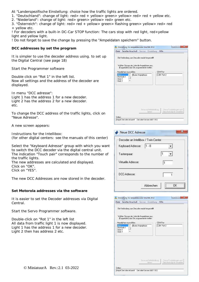At "Landerspezifische Einstellung: choice how the traffic lights are ordered.

1. "Deutschland": change of light: red> red + yellow> green> yellow> red> red + yellow etc.

2. "Niederland": change of light: red> green> yellow> red> green etc.

3. "Österreich": change of light: red> red + yellow> green> flashing green> yellow> red> red + yellow etc.

! For decoders with a built-in DC-Car STOP function: The cars stop with red light, red+yellow light and yellow light.

! Do not forget to save the change by pressing the "Ampeldaten speichern" button.

#### **DCC addresses by set the program**

*It is simpler to use the decoder address using. to set up the Digital Central (see page 18)*

Start the Programmer software

Double click on "Rot 1" in the left list. Now all settings and the address of the decoder are displayed.

In menu "DCC adresse": Light 1 has the address 1 for a new decoder. Light 2 has the address 2 for a new decoder.  $_{\mathsf{a}^{\dagger}$ 

To change the DCC address of the traffic lights, click on "Neue Adresse".

A new screen appears:

Instructions for the Intellibox: (for other digital centers: see the manuals of this center)

Select the "Keyboard Adresse" group with which you want to switch the DCC decoder via the digital central unit. The indication "Touch pair" corresponds to the number of the traffic lights. The new addresses are calculated and displayed.

Click on "OK". Click on "YES".

The new DCC Addresses are now stored in the decoder.

#### **Set Motorola addresses via the software**

It is easier to set the Decoder addresses via Digital Central.

Start the Servo Programmer software.

Double-click on "Rot 1" in the left list All data from traffic light 1 is now displayed. Light 1 has the address 1 for a new decoder. Light 2 then has address 2 etc.

| Datei                                                                                       | Serieller Anschluß Service Einstellung | Hilfe      |                            |
|---------------------------------------------------------------------------------------------|----------------------------------------|------------|----------------------------|
| Die Verbindung zum Decoder wurde hergestellt!                                               |                                        |            |                            |
|                                                                                             |                                        |            |                            |
| Wählen Sie aus der Liste die Ampelphase aus,<br>(Doppelclick) das Sie programmieren wollen. |                                        |            |                            |
| Ampelphase auswählen                                                                        |                                        | COM Port   |                            |
| Rot <sub>1</sub><br>Rot-Gelb 1                                                              | Keine Ampelphase                       | COM Port 3 |                            |
| Grün 1                                                                                      |                                        |            |                            |
| Gelb 1                                                                                      |                                        |            |                            |
|                                                                                             |                                        |            |                            |
|                                                                                             |                                        |            |                            |
|                                                                                             |                                        |            |                            |
|                                                                                             |                                        |            |                            |
|                                                                                             |                                        |            |                            |
|                                                                                             | Servo auf Mittelstellung               |            | Servo Endstellungen und    |
|                                                                                             | fahren                                 |            | Geschwindigkeit einstellen |
|                                                                                             |                                        |            |                            |

| Decoder an Intellibox / Twin-Center |                 |
|-------------------------------------|-----------------|
| $1 - 8$<br>Keyboard Adresse:        |                 |
| Tastenpaar:                         | 1               |
| Virtuelle Adresse:                  |                 |
| DCC-Adresse:                        |                 |
|                                     | Abbrechen<br>ΠK |

| Serieller Anschluß<br>Datei | Service                                                                                     | Einstellung | Hilfe                      |
|-----------------------------|---------------------------------------------------------------------------------------------|-------------|----------------------------|
|                             | Die Verbindung zum Decoder wurde hergestellt!                                               |             |                            |
|                             | Wählen Sie aus der Liste die Ampelphase aus,<br>(Doppelclick) das Sie programmieren wollen. |             |                            |
| Ampelphase auswählen        |                                                                                             | COM Port-   |                            |
| Rot <sub>1</sub>            | Keine Ampelphase                                                                            |             | COM Port 3                 |
| Rot-Gelb 1<br>Grün 1        |                                                                                             |             |                            |
| Gelb 1                      |                                                                                             |             |                            |
|                             |                                                                                             |             |                            |
|                             |                                                                                             |             |                            |
|                             |                                                                                             |             |                            |
|                             |                                                                                             |             |                            |
|                             |                                                                                             |             |                            |
|                             |                                                                                             |             |                            |
|                             |                                                                                             |             |                            |
|                             | Servo auf Mittelstellung                                                                    |             | Servo Endstellungen und    |
|                             | fahren                                                                                      |             | Geschwindigkeit einstellen |
|                             |                                                                                             |             |                            |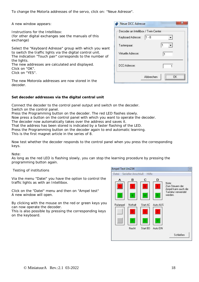To change the Motorla addresses of the servo, click on: "Neue Adresse".

A new window appears:

Instructions for the Intellibox: (for other digital exchanges see the manuals of this exchange)

Select the "Keyboard Adresse" group with which you want to switch the traffic lights via the digital control unit. The indication "Touch pair" corresponds to the number of the lights. The new addresses are calculated and displayed.

Click on "OK". Click on "YES".

|          | The new Motorola addresses are now stored in the |  |  |  |
|----------|--------------------------------------------------|--|--|--|
| decoder. |                                                  |  |  |  |

| Decoder an Intellibox / Twin-Center |     |
|-------------------------------------|-----|
| Keyboard Adresse:                   | 1.8 |
| Tastenpaar:                         | 1   |
| Virtuelle Adresse:                  | 1   |
| DCC-Adresse:                        |     |

#### **Set decoder addresses via the digital central unit**

Connect the decoder to the control panel output and switch on the decoder. Switch on the control panel.

Press the Programming button on the decoder. The red LED flashes slowly.

Now press a button on the control panel with which you want to operate the decoder.

The decoder now automatically takes over the address and saves it.

That the address has been stored is indicated by a faster flashing of the LED.

Press the Programming button on the decoder again to end automatic learning.

This is the first magnet article in the series of 8.

Now test whether the decoder responds to the control panel when you press the corresponding keys.

Note:

As long as the red LED is flashing slowly, you can stop the learning procedure by pressing the programming button again.

Testing of institutions

Via the menu "Datei" you have the option to control the traffic lights as with an Intellibox.

Click on the "Datei" menu and then on "Ampel test" A new window will open.

By clicking with the mouse on the red or green keys you can now operate the decoder.

This is also possible by pressing the corresponding keys on the keyboard.